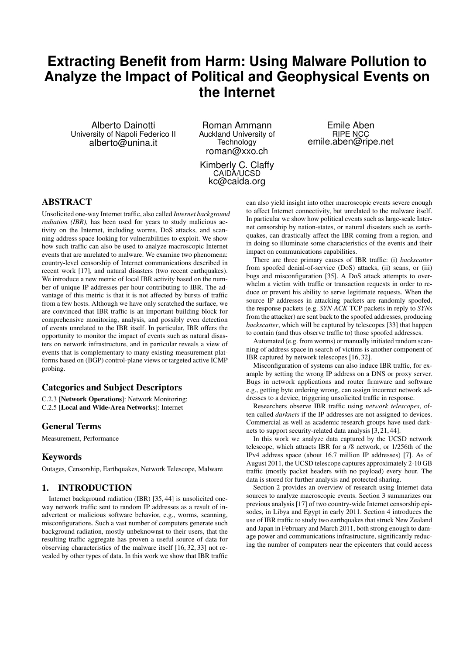# **Extracting Benefit from Harm: Using Malware Pollution to Analyze the Impact of Political and Geophysical Events on the Internet**

Alberto Dainotti University of Napoli Federico II alberto@unina.it

Roman Ammann Auckland University of **Technology** roman@xxo.ch

Kimberly C. Claffy CAIDA/UCSD kc@caida.org

Emile Aben RIPE NCC emile.aben@ripe.net

# ABSTRACT

Unsolicited one-way Internet traffic, also called *Internet background radiation (IBR)*, has been used for years to study malicious activity on the Internet, including worms, DoS attacks, and scanning address space looking for vulnerabilities to exploit. We show how such traffic can also be used to analyze macroscopic Internet events that are unrelated to malware. We examine two phenomena: country-level censorship of Internet communications described in recent work [\[17\]](#page-6-0), and natural disasters (two recent earthquakes). We introduce a new metric of local IBR activity based on the number of unique IP addresses per hour contributing to IBR. The advantage of this metric is that it is not affected by bursts of traffic from a few hosts. Although we have only scratched the surface, we are convinced that IBR traffic is an important building block for comprehensive monitoring, analysis, and possibly even detection of events unrelated to the IBR itself. In particular, IBR offers the opportunity to monitor the impact of events such as natural disasters on network infrastructure, and in particular reveals a view of events that is complementary to many existing measurement platforms based on (BGP) control-plane views or targeted active ICMP probing.

#### Categories and Subject Descriptors

C.2.3 [Network Operations]: Network Monitoring; C.2.5 [Local and Wide-Area Networks]: Internet

## General Terms

Measurement, Performance

#### Keywords

Outages, Censorship, Earthquakes, Network Telescope, Malware

## 1. INTRODUCTION

Internet background radiation (IBR) [\[35,](#page-7-0) [44\]](#page-7-1) is unsolicited oneway network traffic sent to random IP addresses as a result of inadvertent or malicious software behavior, e.g., worms, scanning, misconfigurations. Such a vast number of computers generate such background radiation, mostly unbeknownst to their users, that the resulting traffic aggregate has proven a useful source of data for observing characteristics of the malware itself [\[16,](#page-6-1) [32,](#page-7-2) [33\]](#page-7-3) not revealed by other types of data. In this work we show that IBR traffic can also yield insight into other macroscopic events severe enough to affect Internet connectivity, but unrelated to the malware itself. In particular we show how political events such as large-scale Internet censorship by nation-states, or natural disasters such as earthquakes, can drastically affect the IBR coming from a region, and in doing so illuminate some characteristics of the events and their impact on communications capabilities.

There are three primary causes of IBR traffic: (i) *backscatter* from spoofed denial-of-service (DoS) attacks, (ii) scans, or (iii) bugs and misconfiguration [\[35\]](#page-7-0). A DoS attack attempts to overwhelm a victim with traffic or transaction requests in order to reduce or prevent his ability to serve legitimate requests. When the source IP addresses in attacking packets are randomly spoofed, the response packets (e.g. *SYN-ACK* TCP packets in reply to *SYNs* from the attacker) are sent back to the spoofed addresses, producing *backscatter*, which will be captured by telescopes [\[33\]](#page-7-3) that happen to contain (and thus observe traffic to) those spoofed addresses.

Automated (e.g. from worms) or manually initiated random scanning of address space in search of victims is another component of IBR captured by network telescopes [\[16,](#page-6-1) [32\]](#page-7-2).

Misconfiguration of systems can also induce IBR traffic, for example by setting the wrong IP address on a DNS or proxy server. Bugs in network applications and router firmware and software e.g., getting byte ordering wrong, can assign incorrect network addresses to a device, triggering unsolicited traffic in response.

Researchers observe IBR traffic using *network telescopes*, often called *darknets* if the IP addresses are not assigned to devices. Commercial as well as academic research groups have used darknets to support security-related data analysis [\[3,](#page-6-2) [21,](#page-7-4) [44\]](#page-7-1).

In this work we analyze data captured by the UCSD network telescope, which attracts IBR for a /8 network, or 1/256th of the IPv4 address space (about 16.7 million IP addresses) [\[7\]](#page-6-3). As of August 2011, the UCSD telescope captures approximately 2-10 GB traffic (mostly packet headers with no payload) every hour. The data is stored for further analysis and protected sharing.

Section 2 provides an overview of research using Internet data sources to analyze macroscopic events. Section 3 summarizes our previous analysis [\[17\]](#page-6-0) of two country-wide Internet censorship episodes, in Libya and Egypt in early 2011. Section 4 introduces the use of IBR traffic to study two earthquakes that struck New Zealand and Japan in February and March 2011, both strong enough to damage power and communications infrastructure, significantly reducing the number of computers near the epicenters that could access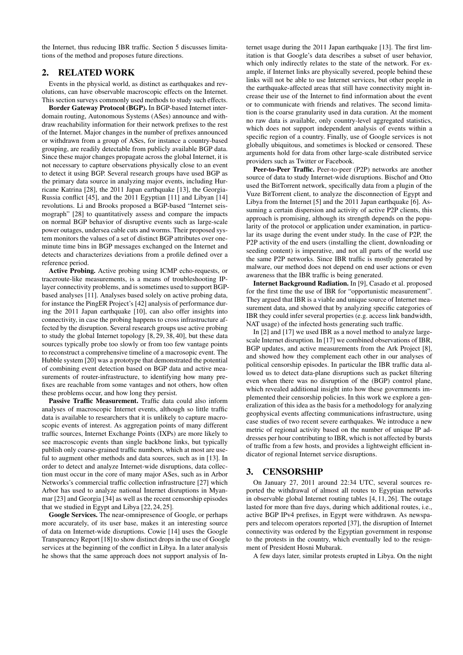the Internet, thus reducing IBR traffic. Section 5 discusses limitations of the method and proposes future directions.

# 2. RELATED WORK

Events in the physical world, as distinct as earthquakes and revolutions, can have observable macroscopic effects on the Internet. This section surveys commonly used methods to study such effects.

Border Gateway Protocol (BGP). In BGP-based Internet interdomain routing, Autonomous Systems (ASes) announce and withdraw reachability information for their network prefixes to the rest of the Internet. Major changes in the number of prefixes announced or withdrawn from a group of ASes, for instance a country-based grouping, are readily detectable from publicly available BGP data. Since these major changes propagate across the global Internet, it is not necessary to capture observations physically close to an event to detect it using BGP. Several research groups have used BGP as the primary data source in analyzing major events, including Hurricane Katrina [\[28\]](#page-7-5), the 2011 Japan earthquake [\[13\]](#page-6-4), the Georgia-Russia conflict [\[45\]](#page-7-6), and the 2011 Egyptian [\[11\]](#page-6-5) and Libyan [\[14\]](#page-6-6) revolutions. Li and Brooks proposed a BGP-based "Internet seismograph" [\[28\]](#page-7-5) to quantitatively assess and compare the impacts on normal BGP behavior of disruptive events such as large-scale power outages, undersea cable cuts and worms. Their proposed system monitors the values of a set of distinct BGP attributes over oneminute time bins in BGP messages exchanged on the Internet and detects and characterizes deviations from a profile defined over a reference period.

Active Probing. Active probing using ICMP echo-requests, or traceroute-like measurements, is a means of troubleshooting IPlayer connectivity problems, and is sometimes used to support BGPbased analyses [\[11\]](#page-6-5). Analyses based solely on active probing data, for instance the PingER Project's [\[42\]](#page-7-7) analysis of performance during the 2011 Japan earthquake [\[10\]](#page-6-7), can also offer insights into connectivity, in case the probing happens to cross infrastructure affected by the disruption. Several research groups use active probing to study the global Internet topology [\[8,](#page-6-8) [29,](#page-7-8) [38,](#page-7-9) [40\]](#page-7-10), but these data sources typically probe too slowly or from too few vantage points to reconstruct a comprehensive timeline of a macrosopic event. The Hubble system [\[20\]](#page-7-11) was a prototype that demonstrated the potential of combining event detection based on BGP data and active measurements of router-infrastructure, to identifying how many prefixes are reachable from some vantages and not others, how often these problems occur, and how long they persist.

Passive Traffic Measurement. Traffic data could also inform analyses of macroscopic Internet events, although so little traffic data is available to researchers that it is unlikely to capture macroscopic events of interest. As aggregation points of many different traffic sources, Internet Exchange Points (IXPs) are more likely to see macroscopic events than single backbone links, but typically publish only coarse-grained traffic numbers, which at most are useful to augment other methods and data sources, such as in [\[13\]](#page-6-4). In order to detect and analyze Internet-wide disruptions, data collection must occur in the core of many major ASes, such as in Arbor Networks's commercial traffic collection infrastructure [\[27\]](#page-7-12) which Arbor has used to analyze national Internet disruptions in Myanmar [\[23\]](#page-7-13) and Georgia [\[34\]](#page-7-14) as well as the recent censorship episodes that we studied in Egypt and Libya [\[22,](#page-7-15) [24,](#page-7-16) [25\]](#page-7-17).

Google Services. The near-omnipresence of Google, or perhaps more accurately, of its user base, makes it an interesting source of data on Internet-wide disruptions. Cowie [\[14\]](#page-6-6) uses the Google Transparency Report [\[18\]](#page-6-9) to show distinct drops in the use of Google services at the beginning of the conflict in Libya. In a later analysis he shows that the same approach does not support analysis of In-

ternet usage during the 2011 Japan earthquake [\[13\]](#page-6-4). The first limitation is that Google's data describes a subset of user behavior, which only indirectly relates to the state of the network. For example, if Internet links are physically severed, people behind these links will not be able to use Internet services, but other people in the earthquake-affected areas that still have connectivity might increase their use of the Internet to find information about the event or to communicate with friends and relatives. The second limitation is the coarse granularity used in data curation. At the moment no raw data is available, only country-level aggregated statistics, which does not support independent analysis of events within a specific region of a country. Finally, use of Google services is not globally ubiquitous, and sometimes is blocked or censored. These arguments hold for data from other large-scale distributed service providers such as Twitter or Facebook.

Peer-to-Peer Traffic. Peer-to-peer (P2P) networks are another source of data to study Internet-wide disruptions. Bischof and Otto used the BitTorrent network, specifically data from a plugin of the Vuze BitTorrent client, to analyze the disconnection of Egypt and Libya from the Internet [\[5\]](#page-6-10) and the 2011 Japan earthquake [\[6\]](#page-6-11). Assuming a certain dispersion and activity of active P2P clients, this approach is promising, although its strength depends on the popularity of the protocol or application under examination, in particular its usage during the event under study. In the case of P2P, the P2P activity of the end users (installing the client, downloading or seeding content) is imperative, and not all parts of the world use the same P2P networks. Since IBR traffic is mostly generated by malware, our method does not depend on end user actions or even awareness that the IBR traffic is being generated.

Internet Background Radiation. In [\[9\]](#page-6-12), Casado et al. proposed for the first time the use of IBR for "opportunistic measurement". They argued that IBR is a viable and unique source of Internet measurement data, and showed that by analyzing specific categories of IBR they could infer several properties (e.g. access link bandwidth, NAT usage) of the infected hosts generating such traffic.

In [\[2\]](#page-6-13) and [\[17\]](#page-6-0) we used IBR as a novel method to analyze largescale Internet disruption. In [\[17\]](#page-6-0) we combined observations of IBR, BGP updates, and active measurements from the Ark Project [\[8\]](#page-6-8), and showed how they complement each other in our analyses of political censorship episodes. In particular the IBR traffic data allowed us to detect data-plane disruptions such as packet filtering even when there was no disruption of the (BGP) control plane, which revealed additional insight into how these governments implemented their censorship policies. In this work we explore a generalization of this idea as the basis for a methodology for analyzing geophysical events affecting communications infrastructure, using case studies of two recent severe earthquakes. We introduce a new metric of regional activity based on the number of unique IP addresses per hour contributing to IBR, which is not affected by bursts of traffic from a few hosts, and provides a lightweight efficient indicator of regional Internet service disruptions.

#### 3. CENSORSHIP

On January 27, 2011 around 22:34 UTC, several sources reported the withdrawal of almost all routes to Egyptian networks in observable global Internet routing tables [\[4,](#page-6-14) [11,](#page-6-5) [26\]](#page-7-18). The outage lasted for more than five days, during which additional routes, i.e., active BGP IPv4 prefixes, in Egypt were withdrawn. As newspapers and telecom operators reported [\[37\]](#page-7-19), the disruption of Internet connectivity was ordered by the Egyptian government in response to the protests in the country, which eventually led to the resignment of President Hosni Mubarak.

A few days later, similar protests erupted in Libya. On the night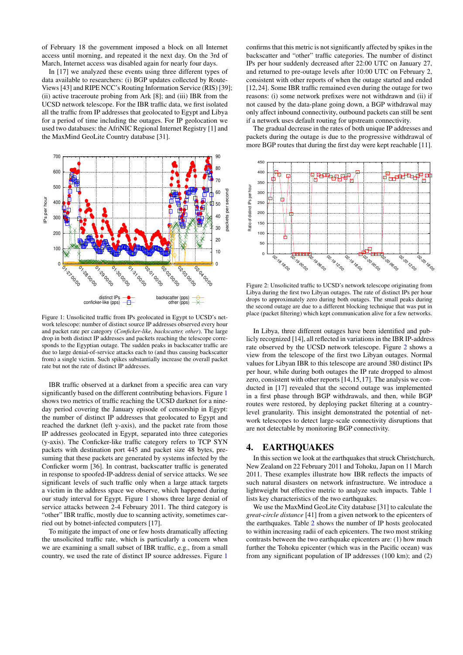of February 18 the government imposed a block on all Internet access until morning, and repeated it the next day. On the 3rd of March, Internet access was disabled again for nearly four days.

In [\[17\]](#page-6-0) we analyzed these events using three different types of data available to researchers: (i) BGP updates collected by Route-Views [\[43\]](#page-7-20) and RIPE NCC's Routing Information Service (RIS) [\[39\]](#page-7-21); (ii) active traceroute probing from Ark [\[8\]](#page-6-8); and (iii) IBR from the UCSD network telescope. For the IBR traffic data, we first isolated all the traffic from IP addresses that geolocated to Egypt and Libya for a period of time including the outages. For IP geolocation we used two databases: the AfriNIC Regional Internet Registry [\[1\]](#page-6-15) and the MaxMind GeoLite Country database [\[31\]](#page-7-22).

<span id="page-2-0"></span>

Figure 1: Unsolicited traffic from IPs geolocated in Egypt to UCSD's network telescope: number of distinct source IP addresses observed every hour and packet rate per category (*Conficker-like, backscatter, other*). The large drop in both distinct IP addresses and packets reaching the telescope corresponds to the Egyptian outage. The sudden peaks in backscatter traffic are due to large denial-of-service attacks each to (and thus causing backscatter from) a single victim. Such spikes substantially increase the overall packet rate but not the rate of distinct IP addresses.

IBR traffic observed at a darknet from a specific area can vary significantly based on the different contributing behaviors. Figure [1](#page-2-0) shows two metrics of traffic reaching the UCSD darknet for a nineday period covering the January episode of censorship in Egypt: the number of distinct IP addresses that geolocated to Egypt and reached the darknet (left y-axis), and the packet rate from those IP addresses geolocated in Egypt, separated into three categories (y-axis). The Conficker-like traffic category refers to TCP SYN packets with destination port 445 and packet size 48 bytes, presuming that these packets are generated by systems infected by the Conficker worm [\[36\]](#page-7-23). In contrast, backscatter traffic is generated in response to spoofed-IP-address denial of service attacks. We see significant levels of such traffic only when a large attack targets a victim in the address space we observe, which happened during our study interval for Egypt. Figure [1](#page-2-0) shows three large denial of service attacks between 2-4 February 2011. The third category is "other" IBR traffic, mostly due to scanning activity, sometimes carried out by botnet-infected computers [\[17\]](#page-6-0).

To mitigate the impact of one or few hosts dramatically affecting the unsolicited traffic rate, which is particularly a concern when we are examining a small subset of IBR traffic, e.g., from a small country, we used the rate of distinct IP source addresses. Figure [1](#page-2-0)

confirms that this metric is not significantly affected by spikes in the backscatter and "other" traffic categories. The number of distinct IPs per hour suddenly decreased after 22:00 UTC on January 27, and returned to pre-outage levels after 10:00 UTC on February 2, consistent with other reports of when the outage started and ended [\[12,](#page-6-16)[24\]](#page-7-16). Some IBR traffic remained even during the outage for two reasons: (i) some network prefixes were not withdrawn and (ii) if not caused by the data-plane going down, a BGP withdrawal may only affect inbound connectivity, outbound packets can still be sent if a network uses default routing for upstream connectivity.

The gradual decrease in the rates of both unique IP addresses and packets during the outage is due to the progressive withdrawal of more BGP routes that during the first day were kept reachable [\[11\]](#page-6-5).

<span id="page-2-1"></span>

Figure 2: Unsolicited traffic to UCSD's network telescope originating from Libya during the first two Libyan outages. The rate of distinct IPs per hour drops to approximately zero during both outages. The small peaks during the second outage are due to a different blocking technique that was put in place (packet filtering) which kept communication alive for a few networks.

In Libya, three different outages have been identified and publicly recognized [\[14\]](#page-6-6), all reflected in variations in the IBR IP-address rate observed by the UCSD network telescope. Figure [2](#page-2-1) shows a view from the telescope of the first two Libyan outages. Normal values for Libyan IBR to this telescope are around 380 distinct IPs per hour, while during both outages the IP rate dropped to almost zero, consistent with other reports [\[14,](#page-6-6)[15](#page-6-17)[,17\]](#page-6-0). The analysis we conducted in [\[17\]](#page-6-0) revealed that the second outage was implemented in a first phase through BGP withdrawals, and then, while BGP routes were restored, by deploying packet filtering at a countrylevel granularity. This insight demonstrated the potential of network telescopes to detect large-scale connectivity disruptions that are not detectable by monitoring BGP connectivity.

#### 4. EARTHQUAKES

In this section we look at the earthquakes that struck Christchurch, New Zealand on 22 February 2011 and Tohoku, Japan on 11 March 2011. These examples illustrate how IBR reflects the impacts of such natural disasters on network infrastructure. We introduce a lightweight but effective metric to analyze such impacts. Table [1](#page-3-0) lists key characteristics of the two earthquakes.

We use the MaxMind GeoLite City database [\[31\]](#page-7-22) to calculate the *great-circle distance* [\[41\]](#page-7-24) from a given network to the epicenters of the earthquakes. Table [2](#page-3-1) shows the number of IP hosts geolocated to within increasing radii of each epicenters. The two most striking contrasts between the two earthquake epicenters are: (1) how much further the Tohoku epicenter (which was in the Pacific ocean) was from any significant population of IP addresses (100 km); and (2)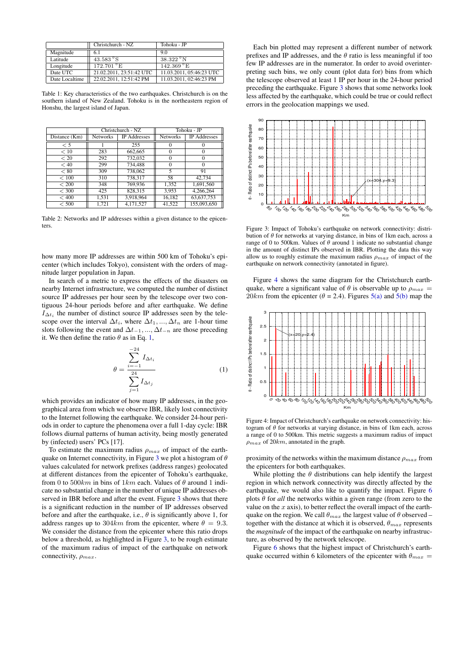<span id="page-3-0"></span>

|                | Christchurch - NZ        | Tohoku - JP              |
|----------------|--------------------------|--------------------------|
| Magnitude      | 6.1                      | 9.0                      |
| Latitude       | $43.583^{\circ}$ S       | $38.322\text{°N}$        |
| Longitude      | $172.701$ <sup>o</sup> E | 142.369 °E               |
| Date UTC       | 21.02.2011. 23:51:42 UTC | 11.03.2011, 05:46:23 UTC |
| Date Localtime | 22.02.2011. 12:51:42 PM  | 11.03.2011, 02:46:23 PM  |

Table 1: Key characteristics of the two earthquakes. Christchurch is on the southern island of New Zealand. Tohoku is in the northeastern region of Honshu, the largest island of Japan.

<span id="page-3-1"></span>

|               | Christchurch - NZ |                     | Tohoku - JP     |                     |
|---------------|-------------------|---------------------|-----------------|---------------------|
| Distance (Km) | <b>Networks</b>   | <b>IP</b> Addresses | <b>Networks</b> | <b>IP</b> Addresses |
| < 5           |                   | 255                 |                 |                     |
| < 10          | 283               | 662,665             |                 |                     |
| < 20          | 292               | 732,032             | $\left($        | $\Omega$            |
| < 40          | 299               | 734,488             | $\Omega$        |                     |
| < 80          | 309               | 738,062             | 5               | 91                  |
| < 100         | 310               | 738,317             | 58              | 42.734              |
| < 200         | 348               | 769,936             | 1,352           | 1,691,560           |
| < 300         | 425               | 828,315             | 3,953           | 4,266,264           |
| ${}<$ 400     | 1.531             | 3,918,964           | 16,182          | 63,637,753          |
| < 500         | 1.721             | 4.171.527           | 41.522          | 155,093,650         |

Table 2: Networks and IP addresses within a given distance to the epicenters.

how many more IP addresses are within 500 km of Tohoku's epicenter (which includes Tokyo), consistent with the orders of magnitude larger population in Japan.

In search of a metric to express the effects of the disasters on nearby Internet infrastructure, we computed the number of distinct source IP addresses per hour seen by the telescope over two contiguous 24-hour periods before and after earthquake. We define  $I_{\Delta t_i}$  the number of distinct source IP addresses seen by the telescope over the interval  $\Delta t_i$ , where  $\Delta t_1, ..., \Delta t_n$  are 1-hour time slots following the event and  $\Delta t_{-1}, ..., \Delta t_{-n}$  are those preceding it. We then define the ratio  $\theta$  as in Eq. [1,](#page-3-2)

<span id="page-3-2"></span>
$$
\theta = \frac{\sum_{i=-1}^{-24} I_{\Delta t_i}}{\sum_{j=1}^{24} I_{\Delta t_j}}
$$
(1)

which provides an indicator of how many IP addresses, in the geographical area from which we observe IBR, likely lost connectivity to the Internet following the earthquake. We consider 24-hour periods in order to capture the phenomena over a full 1-day cycle: IBR follows diurnal patterns of human activity, being mostly generated by (infected) users' PCs [\[17\]](#page-6-0).

To estimate the maximum radius  $\rho_{max}$  of impact of the earth-quake on Internet connectivity, in Figure [3](#page-3-3) we plot a histogram of  $\theta$ values calculated for network prefixes (address ranges) geolocated at different distances from the epicenter of Tohoku's earthquake, from 0 to  $500km$  in bins of  $1km$  each. Values of  $\theta$  around 1 indicate no substantial change in the number of unique IP addresses observed in IBR before and after the event. Figure [3](#page-3-3) shows that there is a significant reduction in the number of IP addresses observed before and after the earthquake, i.e.,  $\theta$  is significantly above 1, for address ranges up to 304km from the epicenter, where  $\theta = 9.3$ . We consider the distance from the epicenter where this ratio drops below a threshold, as highlighted in Figure [3,](#page-3-3) to be rough estimate of the maximum radius of impact of the earthquake on network connectivity,  $\rho_{max}$ .

Each bin plotted may represent a different number of network prefixes and IP addresses, and the  $\theta$  ratio is less meaningful if too few IP addresses are in the numerator. In order to avoid overinterpreting such bins, we only count (plot data for) bins from which the telescope observed at least 1 IP per hour in the 24-hour period preceding the earthquake. Figure [3](#page-3-3) shows that some networks look less affected by the earthquake, which could be true or could reflect errors in the geolocation mappings we used.

<span id="page-3-3"></span>

Figure 3: Impact of Tohoku's earthquake on network connectivity: distribution of  $\theta$  for networks at varying distance, in bins of 1km each, across a range of 0 to 500km. Values of  $\theta$  around 1 indicate no substantial change in the amount of distinct IPs observed in IBR. Plotting the data this way allow us to roughly estimate the maximum radius  $\rho_{max}$  of impact of the earthquake on network connectivity (annotated in figure).

Figure [4](#page-3-4) shows the same diagram for the Christchurch earthquake, where a significant value of  $\theta$  is observable up to  $\rho_{max}$  = 20km from the epicenter ( $\theta$  = 2.4). Figures [5\(a\)](#page-4-0) and [5\(b\)](#page-4-1) map the

<span id="page-3-4"></span>

Figure 4: Impact of Christchurch's earthquake on network connectivity: histogram of  $\theta$  for networks at varying distance, in bins of 1km each, across a range of 0 to 500km. This metric suggests a maximum radius of impact  $\rho_{max}$  of 20km, annotated in the graph.

proximity of the networks within the maximum distance  $\rho_{max}$  from the epicenters for both earthquakes.

While plotting the  $\theta$  distributions can help identify the largest region in which network connectivity was directly affected by the earthquake, we would also like to quantify the impact. Figure [6](#page-4-2) plots  $\theta$  for *all* the networks within a given range (from zero to the value on the  $x$  axis), to better reflect the overall impact of the earthquake on the region. We call  $\theta_{max}$  the largest value of  $\theta$  observed – together with the distance at which it is observed,  $\theta_{max}$  represents the *magnitude* of the impact of the earthquake on nearby infrastructure, as observed by the network telescope.

Figure [6](#page-4-2) shows that the highest impact of Christchurch's earthquake occurred within 6 kilometers of the epicenter with  $\theta_{max}$  =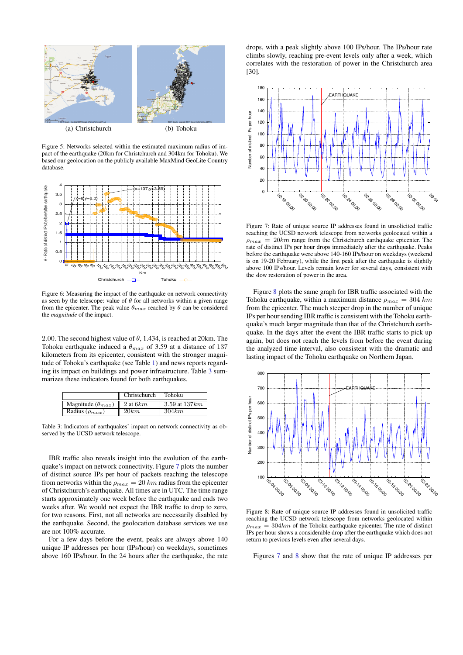<span id="page-4-0"></span>

<span id="page-4-1"></span>Figure 5: Networks selected within the estimated maximum radius of impact of the earthquake (20km for Christchurch and 304km for Tohoku). We based our geolocation on the publicly available MaxMind GeoLite Country database.

<span id="page-4-2"></span>

Figure 6: Measuring the impact of the earthquake on network connectivity as seen by the telescope: value of  $\theta$  for all networks within a given range from the epicenter. The peak value  $\theta_{max}$  reached by  $\theta$  can be considered the *magnitude* of the impact.

2.00. The second highest value of  $\theta$ , 1.434, is reached at 20 km. The Tohoku earthquake induced a  $\theta_{max}$  of 3.59 at a distance of 137 kilometers from its epicenter, consistent with the stronger magni-tude of Tohoku's earthquake (see Table [1\)](#page-3-0) and news reports regarding its impact on buildings and power infrastructure. Table [3](#page-4-3) summarizes these indicators found for both earthquakes.

<span id="page-4-3"></span>

|                            | Christchurch            | Tohoku          |
|----------------------------|-------------------------|-----------------|
| Magnitude $(\theta_{max})$ | $\parallel$ 2 at 6 $km$ | 3.59 at $137km$ |
| Radius $(\rho_{max})$      | 20km                    | 304km           |

Table 3: Indicators of earthquakes' impact on network connectivity as observed by the UCSD network telescope.

IBR traffic also reveals insight into the evolution of the earthquake's impact on network connectivity. Figure [7](#page-4-4) plots the number of distinct source IPs per hour of packets reaching the telescope from networks within the  $\rho_{max} = 20$  km radius from the epicenter of Christchurch's earthquake. All times are in UTC. The time range starts approximately one week before the earthquake and ends two weeks after. We would not expect the IBR traffic to drop to zero, for two reasons. First, not all networks are necessarily disabled by the earthquake. Second, the geolocation database services we use are not 100% accurate.

For a few days before the event, peaks are always above 140 unique IP addresses per hour (IPs/hour) on weekdays, sometimes above 160 IPs/hour. In the 24 hours after the earthquake, the rate drops, with a peak slightly above 100 IPs/hour. The IPs/hour rate climbs slowly, reaching pre-event levels only after a week, which correlates with the restoration of power in the Christchurch area [\[30\]](#page-7-25).

<span id="page-4-4"></span>

Figure 7: Rate of unique source IP addresses found in unsolicited traffic reaching the UCSD network telescope from networks geolocated within a  $\rho_{max}$  = 20km range from the Christchurch earthquake epicenter. The rate of distinct IPs per hour drops immediately after the earthquake. Peaks before the earthquake were above 140-160 IPs/hour on weekdays (weekend is on 19-20 February), while the first peak after the earthquake is slightly above 100 IPs/hour. Levels remain lower for several days, consistent with the slow restoration of power in the area.

Figure [8](#page-4-5) plots the same graph for IBR traffic associated with the Tohoku earthquake, within a maximum distance  $\rho_{max} = 304$  km from the epicenter. The much steeper drop in the number of unique IPs per hour sending IBR traffic is consistent with the Tohoku earthquake's much larger magnitude than that of the Christchurch earthquake. In the days after the event the IBR traffic starts to pick up again, but does not reach the levels from before the event during the analyzed time interval, also consistent with the dramatic and lasting impact of the Tohoku earthquake on Northern Japan.

<span id="page-4-5"></span>

Figure 8: Rate of unique source IP addresses found in unsolicited traffic reaching the UCSD network telescope from networks geolocated within  $\rho_{max} = 304km$  of the Tohoku earthquake epicenter. The rate of distinct IPs per hour shows a considerable drop after the earthquake which does not return to previous levels even after several days.

Figures [7](#page-4-4) and [8](#page-4-5) show that the rate of unique IP addresses per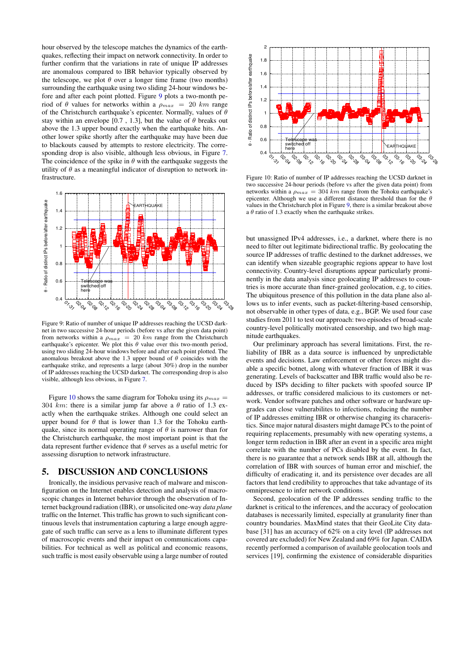hour observed by the telescope matches the dynamics of the earthquakes, reflecting their impact on network connectivity. In order to further confirm that the variations in rate of unique IP addresses are anomalous compared to IBR behavior typically observed by the telescope, we plot  $\theta$  over a longer time frame (two months) surrounding the earthquake using two sliding 24-hour windows before and after each point plotted. Figure [9](#page-5-0) plots a two-month period of  $\theta$  values for networks within a  $\rho_{max} = 20$  km range of the Christchurch earthquake's epicenter. Normally, values of  $\theta$ stay within an envelope [0.7, 1.3], but the value of  $\theta$  breaks out above the 1.3 upper bound exactly when the earthquake hits. Another lower spike shortly after the earthquake may have been due to blackouts caused by attempts to restore electricity. The corresponding drop is also visible, although less obvious, in Figure [7.](#page-4-4) The coincidence of the spike in  $\theta$  with the earthquake suggests the utility of  $\theta$  as a meaningful indicator of disruption to network infrastructure.

<span id="page-5-0"></span>

Figure 9: Ratio of number of unique IP addresses reaching the UCSD darknet in two successive 24-hour periods (before vs after the given data point) from networks within a  $\rho_{max}$  = 20 km range from the Christchurch earthquake's epicenter. We plot this  $\theta$  value over this two-month period, using two sliding 24-hour windows before and after each point plotted. The anomalous breakout above the 1.3 upper bound of  $\theta$  coincides with the earthquake strike, and represents a large (about 30%) drop in the number of IP addresses reaching the UCSD darknet. The corresponding drop is also visible, although less obvious, in Figure [7.](#page-4-4)

Figure [10](#page-5-1) shows the same diagram for Tohoku using its  $\rho_{max}$  = 304 km: there is a similar jump far above a  $\theta$  ratio of 1.3 exactly when the earthquake strikes. Although one could select an upper bound for  $\theta$  that is lower than 1.3 for the Tohoku earthquake, since its normal operating range of  $\theta$  is narrower than for the Christchurch earthquake, the most important point is that the data represent further evidence that  $\theta$  serves as a useful metric for assessing disruption to network infrastructure.

## 5. DISCUSSION AND CONCLUSIONS

Ironically, the insidious pervasive reach of malware and misconfiguration on the Internet enables detection and analysis of macroscopic changes in Internet behavior through the observation of Internet background radiation (IBR), or unsolicited one-way *data plane* traffic on the Internet. This traffic has grown to such significant continuous levels that instrumentation capturing a large enough aggregate of such traffic can serve as a lens to illuminate different types of macroscopic events and their impact on communications capabilities. For technical as well as political and economic reasons, such traffic is most easily observable using a large number of routed

<span id="page-5-1"></span>

Figure 10: Ratio of number of IP addresses reaching the UCSD darknet in two successive 24-hour periods (before vs after the given data point) from networks within a  $\rho_{max} = 304 \; km$  range from the Tohoku earthquake's epicenter. Although we use a different distance threshold than for the  $\theta$ values in the Christchurch plot in Figure [9,](#page-5-0) there is a similar breakout above a  $\theta$  ratio of 1.3 exactly when the earthquake strikes.

but unassigned IPv4 addresses, i.e., a darknet, where there is no need to filter out legitimate bidirectional traffic. By geolocating the source IP addresses of traffic destined to the darknet addresses, we can identify when sizeable geographic regions appear to have lost connectivity. Country-level disruptions appear particularly prominently in the data analysis since geolocating IP addresses to countries is more accurate than finer-grained geolocation, e.g, to cities. The ubiquitous presence of this pollution in the data plane also allows us to infer events, such as packet-filtering-based censorship, not observable in other types of data, e.g., BGP. We used four case studies from 2011 to test our approach: two episodes of broad-scale country-level politically motivated censorship, and two high magnitude earthquakes.

Our preliminary approach has several limitations. First, the reliability of IBR as a data source is influenced by unpredictable events and decisions. Law enforcement or other forces might disable a specific botnet, along with whatever fraction of IBR it was generating. Levels of backscatter and IBR traffic would also be reduced by ISPs deciding to filter packets with spoofed source IP addresses, or traffic considered malicious to its customers or network. Vendor software patches and other software or hardware upgrades can close vulnerabilites to infections, reducing the number of IP addresses emitting IBR or otherwise changing its characeristics. Since major natural disasters might damage PCs to the point of requiring replacements, presumably with new operating systems, a longer term reduction in IBR after an event in a specific area might correlate with the number of PCs disabled by the event. In fact, there is no guarantee that a network sends IBR at all, although the correlation of IBR with sources of human error and mischief, the difficulty of eradicating it, and its persistence over decades are all factors that lend credibility to approaches that take advantage of its omnipresence to infer network conditions.

Second, geolocation of the IP addresses sending traffic to the darknet is critical to the inferences, and the accuracy of geolocation databases is necessarily limited, especially at granularity finer than country boundaries. MaxMind states that their GeoLite City database [\[31\]](#page-7-22) has an accuracy of 62% on a city level (IP addresses not covered are excluded) for New Zealand and 69% for Japan. CAIDA recently performed a comparison of available geolocation tools and services [\[19\]](#page-7-26), confirming the existence of considerable disparities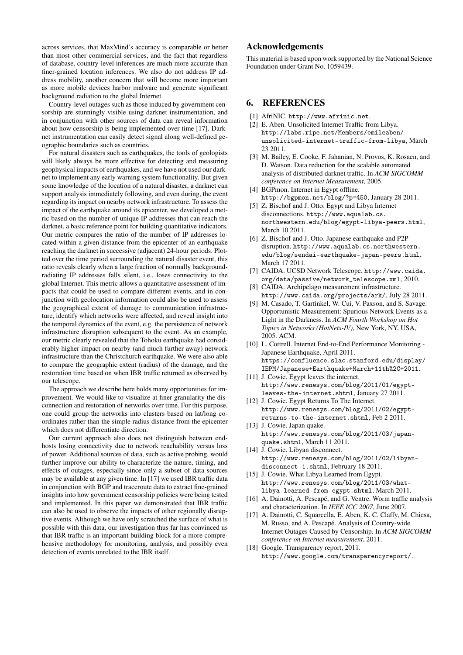across services, that MaxMind's accuracy is comparable or better than most other commercial services, and the fact that regardless of database, country-level inferences are much more accurate than finer-grained location inferences. We also do not address IP address mobility, another concern that will become more important as more mobile devices harbor malware and generate significant background radiation to the global Internet.

Country-level outages such as those induced by government censorship are stunningly visible using darknet instrumentation, and in conjunction with other sources of data can reveal information about how censorship is being implemented over time [\[17\]](#page-6-0). Darknet instrumentation can easily detect signal along well-defined geographic boundaries such as countries.

For natural disasters such as earthquakes, the tools of geologists will likely always be more effective for detecting and measuring geophysical impacts of earthquakes, and we have not used our darknet to implement any early warning system functionality. But given some knowledge of the location of a natural disaster, a darknet can support analysis immediately following, and even during, the event regarding its impact on nearby network infrastructure. To assess the impact of the earthquake around its epicenter, we developed a metric based on the number of unique IP addresses that can reach the darknet, a basic reference point for building quantitative indicators. Our metric compares the ratio of the number of IP addresses located within a given distance from the epicenter of an earthquake reaching the darknet in successive (adjacent) 24-hour periods. Plotted over the time period surrounding the natural disaster event, this ratio reveals clearly when a large fraction of normally backgroundradiating IP addresses falls silent, i.e., loses connectivity to the global Internet. This metric allows a quantitative assessment of impacts that could be used to compare different events, and in conjunction with geolocation information could also be used to assess the geographical extent of damage to communication infrastructure, identify which networks were affected, and reveal insight into the temporal dynamics of the event, e.g. the persistence of network infrastructure disruption subsequent to the event. As an example, our metric clearly revealed that the Tohoku earthquake had considerably higher impact on nearby (and much further away) network infrastructure than the Christchurch earthquake. We were also able to compare the geographic extent (radius) of the damage, and the restoration time based on when IBR traffic returned as observed by our telescope.

The approach we describe here holds many opportunities for improvement. We would like to visualize at finer granularity the disconnection and restoration of networks over time. For this purpose, one could group the networks into clusters based on lat/long coordinates rather than the simple radius distance from the epicenter which does not differentiate direction.

Our current approach also does not distinguish between endhosts losing connectivity due to network reachability versus loss of power. Additional sources of data, such as active probing, would further improve our ability to characterize the nature, timing, and effects of outages, especially since only a subset of data sources may be available at any given time. In [\[17\]](#page-6-0) we used IBR traffic data in conjunction with BGP and traceroute data to extract fine-grained insights into how government censorship policies were being tested and implemented. In this paper we demonstrated that IBR traffic can also be used to observe the impacts of other regionally disruptive events. Although we have only scratched the surface of what is possible with this data, our investigation thus far has convinced us that IBR traffic is an important building block for a more comprehensive methodology for monitoring, analysis, and possibly even detection of events unrelated to the IBR itself.

# Acknowledgements

This material is based upon work supported by the National Science Foundation under Grant No. 1059439.

# 6. REFERENCES

- <span id="page-6-15"></span>[1] AfriNIC. <http://www.afrinic.net>.
- <span id="page-6-13"></span>[2] E. Aben. Unsolicited Internet Traffic from Libya. [http://labs.ripe.net/Members/emileaben/](http://labs.ripe.net/Members/emileaben/unsolicited-internet-traffic-from-libya) [unsolicited-internet-traffic-from-libya](http://labs.ripe.net/Members/emileaben/unsolicited-internet-traffic-from-libya), March 23 2011.
- <span id="page-6-2"></span>[3] M. Bailey, E. Cooke, F. Jahanian, N. Provos, K. Rosaen, and D. Watson. Data reduction for the scalable automated analysis of distributed darknet traffic. In *ACM SIGCOMM conference on Internet Measurement*, 2005.
- <span id="page-6-14"></span>[4] BGPmon. Internet in Egypt offline. <http://bgpmon.net/blog/?p=450>, January 28 2011.
- <span id="page-6-10"></span>[5] Z. Bischof and J. Otto. Egypt and Libya Internet disconnections. [http://www.aqualab.cs.](http://www.aqualab.cs.northwestern.edu/blog/egypt-libya-peers.html) [northwestern.edu/blog/egypt-libya-peers.html](http://www.aqualab.cs.northwestern.edu/blog/egypt-libya-peers.html), March 10 2011.
- <span id="page-6-11"></span>[6] Z. Bischof and J. Otto. Japanese earthquake and P2P disruption. [http://www.aqualab.cs.northwestern.](http://www.aqualab.cs.northwestern.edu/blog/sendai-earthquake-japan-peers.html) [edu/blog/sendai-earthquake-japan-peers.html](http://www.aqualab.cs.northwestern.edu/blog/sendai-earthquake-japan-peers.html), March 17 2011.
- <span id="page-6-3"></span>[7] CAIDA. UCSD Network Telescope. [http://www.caida.](http://www.caida.org/data/passive/network_telescope.xml) [org/data/passive/network\\_telescope.xml](http://www.caida.org/data/passive/network_telescope.xml), 2010. [8] CAIDA. Archipelago measurement infrastructure.
- <span id="page-6-8"></span><http://www.caida.org/projects/ark/>, July 28 2011.
- <span id="page-6-12"></span>[9] M. Casado, T. Garfinkel, W. Cui, V. Paxson, and S. Savage. Opportunistic Measurement: Spurious Network Events as a Light in the Darkness. In *ACM Fourth Workshop on Hot Topics in Networks (HotNets-IV)*, New York, NY, USA, 2005. ACM.
- <span id="page-6-7"></span>[10] L. Cottrell. Internet End-to-End Performance Monitoring -Japanese Earthquake, April 2011. [https://confluence.slac.stanford.edu/display/](https://confluence.slac.stanford.edu/display/IEPM/Japanese+Earthquake+March+11th%2C+2011) [IEPM/Japanese+Earthquake+March+11th%2C+2011](https://confluence.slac.stanford.edu/display/IEPM/Japanese+Earthquake+March+11th%2C+2011).
- <span id="page-6-5"></span>[11] J. Cowie. Egypt leaves the internet. [http://www.renesys.com/blog/2011/01/egypt](http://www.renesys.com/blog/2011/01/egypt-leaves-the-internet.shtml)[leaves-the-internet.shtml](http://www.renesys.com/blog/2011/01/egypt-leaves-the-internet.shtml), January 27 2011.
- <span id="page-6-16"></span>[12] J. Cowie. Egypt Returns To The Internet. [http://www.renesys.com/blog/2011/02/egypt](http://www.renesys.com/blog/2011/02/egypt-returns-to-the-internet.shtml)[returns-to-the-internet.shtml](http://www.renesys.com/blog/2011/02/egypt-returns-to-the-internet.shtml), Feb 2 2011.
- <span id="page-6-4"></span>[13] J. Cowie. Japan quake. [http://www.renesys.com/blog/2011/03/japan](http://www.renesys.com/blog/2011/03/japan-quake.shtml)[quake.shtml](http://www.renesys.com/blog/2011/03/japan-quake.shtml), March 11 2011.
- <span id="page-6-6"></span>[14] J. Cowie. Libyan disconnect. [http://www.renesys.com/blog/2011/02/libyan](http://www.renesys.com/blog/2011/02/libyan-disconnect-1.shtml)[disconnect-1.shtml](http://www.renesys.com/blog/2011/02/libyan-disconnect-1.shtml), February 18 2011.
- <span id="page-6-17"></span>[15] J. Cowie. What Libya Learned from Egypt. [http://www.renesys.com/blog/2011/03/what](http://www.renesys.com/blog/2011/03/what-libya-learned-from-egypt.shtml)[libya-learned-from-egypt.shtml](http://www.renesys.com/blog/2011/03/what-libya-learned-from-egypt.shtml), March 2011.
- <span id="page-6-1"></span>[16] A. Dainotti, A. Pescapé, and G. Ventre. Worm traffic analysis and characterization. In *IEEE ICC 2007*, June 2007.
- <span id="page-6-0"></span>[17] A. Dainotti, C. Squarcella, E. Aben, K. C. Claffy, M. Chiesa, M. Russo, and A. Pescapé. Analysis of Country-wide Internet Outages Caused by Censorship. In *ACM SIGCOMM conference on Internet measurement*, 2011.
- <span id="page-6-9"></span>[18] Google. Transparency report, 2011. <http://www.google.com/transparencyreport/>.